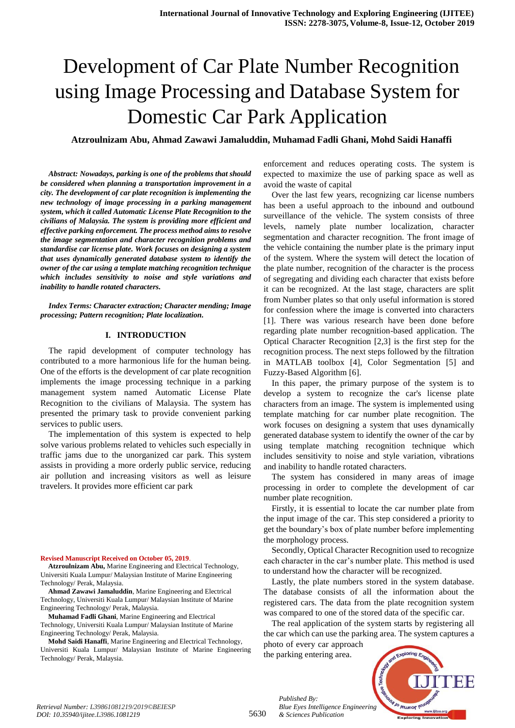## **Atzroulnizam Abu, Ahmad Zawawi Jamaluddin, Muhamad Fadli Ghani, Mohd Saidi Hanaffi**

*Abstract: Nowadays, parking is one of the problems that should be considered when planning a transportation improvement in a city. The development of car plate recognition is implementing the new technology of image processing in a parking management system, which it called Automatic License Plate Recognition to the civilians of Malaysia. The system is providing more efficient and effective parking enforcement. The process method aims to resolve the image segmentation and character recognition problems and standardise car license plate. Work focuses on designing a system that uses dynamically generated database system to identify the owner of the car using a template matching recognition technique which includes sensitivity to noise and style variations and inability to handle rotated characters.*

*Index Terms: Character extraction; Character mending; Image processing; Pattern recognition; Plate localization.* 

#### **I. INTRODUCTION**

The rapid development of computer technology has contributed to a more harmonious life for the human being. One of the efforts is the development of car plate recognition implements the image processing technique in a parking management system named Automatic License Plate Recognition to the civilians of Malaysia. The system has presented the primary task to provide convenient parking services to public users.

The implementation of this system is expected to help solve various problems related to vehicles such especially in traffic jams due to the unorganized car park. This system assists in providing a more orderly public service, reducing air pollution and increasing visitors as well as leisure travelers. It provides more efficient car park

#### **Revised Manuscript Received on October 05, 2019**.

**Atzroulnizam Abu,** Marine Engineering and Electrical Technology, Universiti Kuala Lumpur/ Malaysian Institute of Marine Engineering Technology/ Perak, Malaysia.

**Ahmad Zawawi Jamaluddin**, Marine Engineering and Electrical Technology, Universiti Kuala Lumpur/ Malaysian Institute of Marine Engineering Technology/ Perak, Malaysia.

**Muhamad Fadli Ghani**, Marine Engineering and Electrical Technology, Universiti Kuala Lumpur/ Malaysian Institute of Marine Engineering Technology/ Perak, Malaysia.

**Mohd Saidi Hanaffi**, Marine Engineering and Electrical Technology, Universiti Kuala Lumpur/ Malaysian Institute of Marine Engineering Technology/ Perak, Malaysia.

enforcement and reduces operating costs. The system is expected to maximize the use of parking space as well as avoid the waste of capital

Over the last few years, recognizing car license numbers has been a useful approach to the inbound and outbound surveillance of the vehicle. The system consists of three levels, namely plate number localization, character segmentation and character recognition. The front image of the vehicle containing the number plate is the primary input of the system. Where the system will detect the location of the plate number, recognition of the character is the process of segregating and dividing each character that exists before it can be recognized. At the last stage, characters are split from Number plates so that only useful information is stored for confession where the image is converted into characters [1]. There was various research have been done before regarding plate number recognition-based application. The Optical Character Recognition [2,3] is the first step for the recognition process. The next steps followed by the filtration in MATLAB toolbox [4], Color Segmentation [5] and Fuzzy-Based Algorithm [6].

In this paper, the primary purpose of the system is to develop a system to recognize the car's license plate characters from an image. The system is implemented using template matching for car number plate recognition. The work focuses on designing a system that uses dynamically generated database system to identify the owner of the car by using template matching recognition technique which includes sensitivity to noise and style variation, vibrations and inability to handle rotated characters.

The system has considered in many areas of image processing in order to complete the development of car number plate recognition.

Firstly, it is essential to locate the car number plate from the input image of the car. This step considered a priority to get the boundary"s box of plate number before implementing the morphology process.

Secondly, Optical Character Recognition used to recognize each character in the car"s number plate. This method is used to understand how the character will be recognized.

Lastly, the plate numbers stored in the system database. The database consists of all the information about the registered cars. The data from the plate recognition system was compared to one of the stored data of the specific car.

The real application of the system starts by registering all the car which can use the parking area. The system captures a photo of every car approach

the parking entering area.

*& Sciences Publication* 

*Published By:*



5630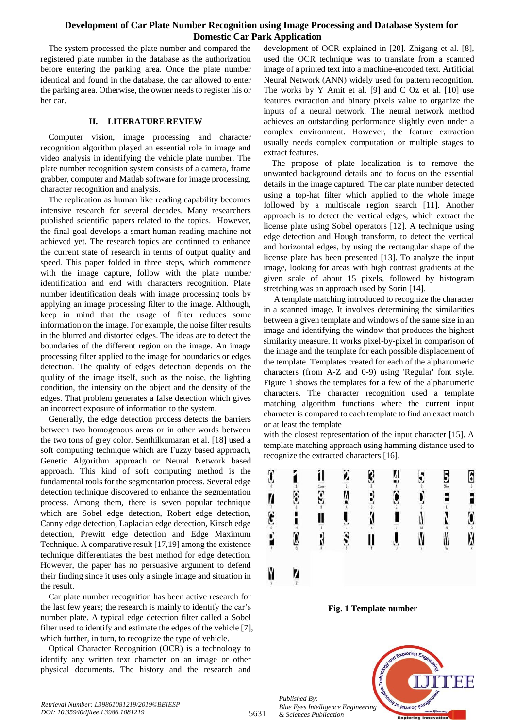The system processed the plate number and compared the registered plate number in the database as the authorization before entering the parking area. Once the plate number identical and found in the database, the car allowed to enter the parking area. Otherwise, the owner needs to register his or her car.

## **II. LITERATURE REVIEW**

Computer vision, image processing and character recognition algorithm played an essential role in image and video analysis in identifying the vehicle plate number. The plate number recognition system consists of a camera, frame grabber, computer and Matlab software for image processing, character recognition and analysis.

The replication as human like reading capability becomes intensive research for several decades. Many researchers published scientific papers related to the topics. However, the final goal develops a smart human reading machine not achieved yet. The research topics are continued to enhance the current state of research in terms of output quality and speed. This paper folded in three steps, which commence with the image capture, follow with the plate number identification and end with characters recognition. Plate number identification deals with image processing tools by applying an image processing filter to the image. Although, keep in mind that the usage of filter reduces some information on the image. For example, the noise filter results in the blurred and distorted edges. The ideas are to detect the boundaries of the different region on the image. An image processing filter applied to the image for boundaries or edges detection. The quality of edges detection depends on the quality of the image itself, such as the noise, the lighting condition, the intensity on the object and the density of the edges. That problem generates a false detection which gives an incorrect exposure of information to the system.

Generally, the edge detection process detects the barriers between two homogenous areas or in other words between the two tons of grey color. Senthilkumaran et al. [18] used a soft computing technique which are Fuzzy based approach, Genetic Algorithm approach or Neural Network based approach. This kind of soft computing method is the fundamental tools for the segmentation process. Several edge detection technique discovered to enhance the segmentation process. Among them, there is seven popular technique which are Sobel edge detection, Robert edge detection, Canny edge detection, Laplacian edge detection, Kirsch edge detection, Prewitt edge detection and Edge Maximum Technique. A comparative result [17,19] among the existence technique differentiates the best method for edge detection. However, the paper has no persuasive argument to defend their finding since it uses only a single image and situation in the result.

Car plate number recognition has been active research for the last few years; the research is mainly to identify the car"s number plate. A typical edge detection filter called a Sobel filter used to identify and estimate the edges of the vehicle [7], which further, in turn, to recognize the type of vehicle.

Optical Character Recognition (OCR) is a technology to identify any written text character on an image or other physical documents. The history and the research and

development of OCR explained in [20]. Zhigang et al. [8], used the OCR technique was to translate from a scanned image of a printed text into a machine-encoded text. Artificial Neural Network (ANN) widely used for pattern recognition. The works by Y Amit et al. [9] and C Oz et al. [10] use features extraction and binary pixels value to organize the inputs of a neural network. The neural network method achieves an outstanding performance slightly even under a complex environment. However, the feature extraction usually needs complex computation or multiple stages to extract features.

The propose of plate localization is to remove the unwanted background details and to focus on the essential details in the image captured. The car plate number detected using a top-hat filter which applied to the whole image followed by a multiscale region search [11]. Another approach is to detect the vertical edges, which extract the license plate using Sobel operators [12]. A technique using edge detection and Hough transform, to detect the vertical and horizontal edges, by using the rectangular shape of the license plate has been presented [13]. To analyze the input image, looking for areas with high contrast gradients at the given scale of about 15 pixels, followed by histogram stretching was an approach used by Sorin [14].

A template matching introduced to recognize the character in a scanned image. It involves determining the similarities between a given template and windows of the same size in an image and identifying the window that produces the highest similarity measure. It works pixel-by-pixel in comparison of the image and the template for each possible displacement of the template. Templates created for each of the alphanumeric characters (from A-Z and 0-9) using 'Regular' font style. Figure 1 shows the templates for a few of the alphanumeric characters. The character recognition used a template matching algorithm functions where the current input character is compared to each template to find an exact match or at least the template

with the closest representation of the input character [15]. A template matching approach using hamming distance used to recognize the extracted characters [16].



**Fig. 1 Template number**



5631

*Published By:*

*& Sciences Publication*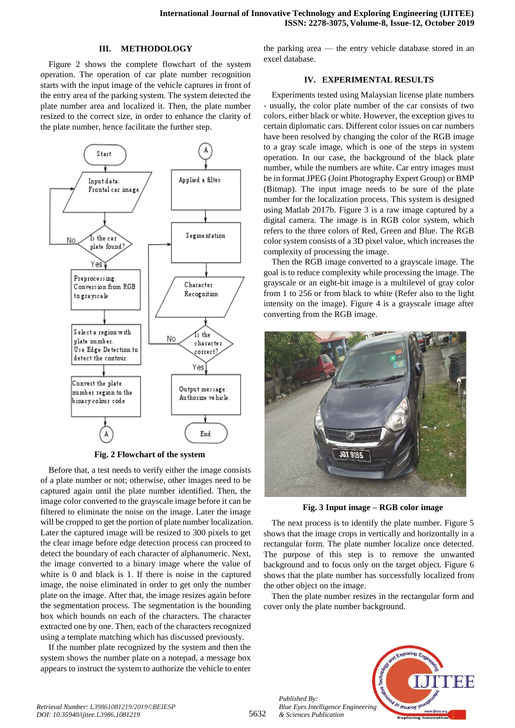#### **III. METHODOLOGY**

Figure 2 shows the complete flowchart of the system operation. The operation of car plate number recognition starts with the input image of the vehicle captures in front of the entry area of the parking system. The system detected the plate number area and localized it. Then, the plate number resized to the correct size, in order to enhance the clarity of the plate number, hence facilitate the further step.



**Fig. 2 Flowchart of the system**

Before that, a test needs to verify either the image consists of a plate number or not; otherwise, other images need to be captured again until the plate number identified. Then, the image color converted to the grayscale image before it can be filtered to eliminate the noise on the image. Later the image will be cropped to get the portion of plate number localization. Later the captured image will be resized to 300 pixels to get the clear image before edge detection process can proceed to detect the boundary of each character of alphanumeric. Next, the image converted to a binary image where the value of white is 0 and black is 1. If there is noise in the captured image, the noise eliminated in order to get only the number plate on the image. After that, the image resizes again before the segmentation process. The segmentation is the bounding box which bounds on each of the characters. The character extracted one by one. Then, each of the characters recognized using a template matching which has discussed previously.

If the number plate recognized by the system and then the system shows the number plate on a notepad, a message box appears to instruct the system to authorize the vehicle to enter

the parking area — the entry vehicle database stored in an excel database.

#### **IV. EXPERIMENTAL RESULTS**

Experiments tested using Malaysian license plate numbers - usually, the color plate number of the car consists of two colors, either black or white. However, the exception gives to certain diplomatic cars. Different color issues on car numbers have been resolved by changing the color of the RGB image to a gray scale image, which is one of the steps in system operation. In our case, the background of the black plate number, while the numbers are white. Car entry images must be in format JPEG (Joint Photography Expert Group) or BMP (Bitmap). The input image needs to be sure of the plate number for the localization process. This system is designed using Matlab 2017b. Figure 3 is a raw image captured by a digital camera. The image is in RGB color system, which refers to the three colors of Red, Green and Blue. The RGB color system consists of a 3D pixel value, which increases the complexity of processing the image.

Then the RGB image converted to a grayscale image. The goal is to reduce complexity while processing the image. The grayscale or an eight-bit image is a multilevel of gray color from 1 to 256 or from black to white (Refer also to the light intensity on the image). Figure 4 is a grayscale image after converting from the RGB image.



**Fig. 3 Input image – RGB color image**

The next process is to identify the plate number. Figure 5 shows that the image crops in vertically and horizontally in a rectangular form. The plate number localize once detected. The purpose of this step is to remove the unwanted background and to focus only on the target object. Figure 6 shows that the plate number has successfully localized from the other object on the image.

Then the plate number resizes in the rectangular form and cover only the plate number background.



*Published By:*

*& Sciences Publication*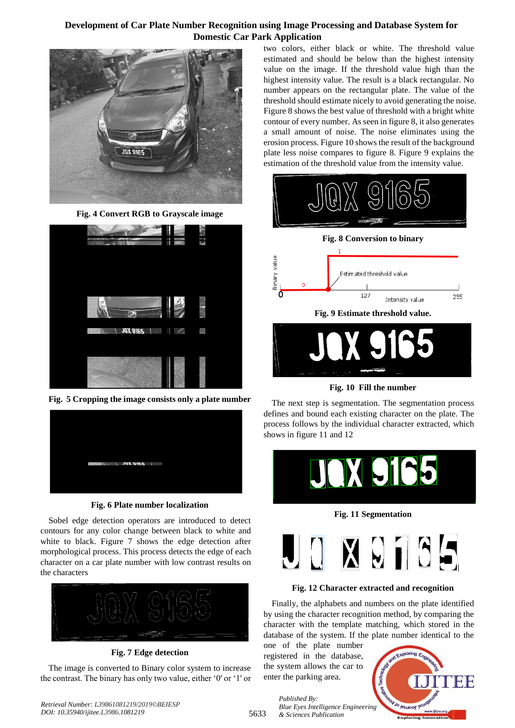

**Fig. 4 Convert RGB to Grayscale image**



**Fig. 5 Cropping the image consists only a plate number**



**Fig. 6 Plate number localization**

Sobel edge detection operators are introduced to detect contours for any color change between black to white and white to black. Figure 7 shows the edge detection after morphological process. This process detects the edge of each character on a car plate number with low contrast results on the characters



## **Fig. 7 Edge detection**

The image is converted to Binary color system to increase the contrast. The binary has only two value, either "0' or "1' or

two colors, either black or white. The threshold value estimated and should be below than the highest intensity value on the image. If the threshold value high than the highest intensity value. The result is a black rectangular. No number appears on the rectangular plate. The value of the threshold should estimate nicely to avoid generating the noise. Figure 8 shows the best value of threshold with a bright white contour of every number. As seen in figure 8, it also generates a small amount of noise. The noise eliminates using the erosion process. Figure 10 shows the result of the background plate less noise compares to figure 8. Figure 9 explains the estimation of the threshold value from the intensity value.



**Fig. 10 Fill the number**

The next step is segmentation. The segmentation process defines and bound each existing character on the plate. The process follows by the individual character extracted, which shows in figure 11 and 12



**Fig. 11 Segmentation**



## **Fig. 12 Character extracted and recognition**

Finally, the alphabets and numbers on the plate identified by using the character recognition method, by comparing the character with the template matching, which stored in the database of the system. If the plate number identical to the

one of the plate number registered in the database, the system allows the car to enter the parking area.



5633 *Published By: Blue Eyes Intelligence Engineering & Sciences Publication*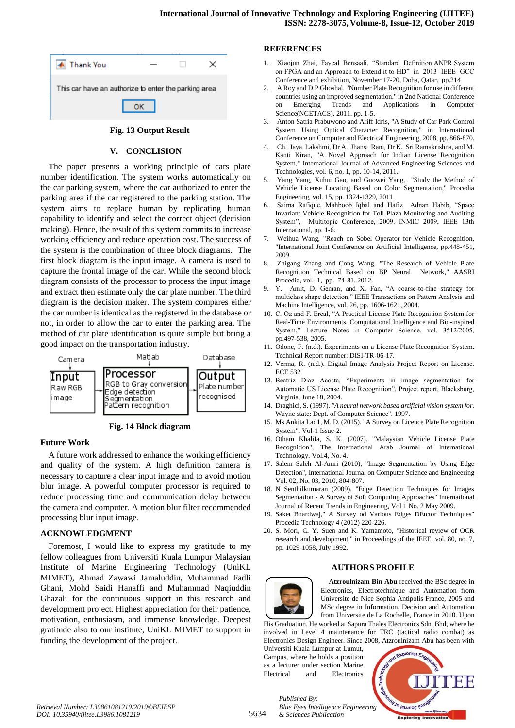| Thank You                                            |  |  |  |
|------------------------------------------------------|--|--|--|
| This car have an authorize to enter the parking area |  |  |  |
|                                                      |  |  |  |

#### **Fig. 13 Output Result**

#### **V. CONCLISION**

The paper presents a working principle of cars plate number identification. The system works automatically on the car parking system, where the car authorized to enter the parking area if the car registered to the parking station. The system aims to replace human by replicating human capability to identify and select the correct object (decision making). Hence, the result of this system commits to increase working efficiency and reduce operation cost. The success of the system is the combination of three block diagrams. The first block diagram is the input image. A camera is used to capture the frontal image of the car. While the second block diagram consists of the processor to process the input image and extract then estimate only the car plate number. The third diagram is the decision maker. The system compares either the car number is identical as the registered in the database or not, in order to allow the car to enter the parking area. The method of car plate identification is quite simple but bring a good impact on the transportation industry.



**Fig. 14 Block diagram**

#### **Future Work**

A future work addressed to enhance the working efficiency and quality of the system. A high definition camera is necessary to capture a clear input image and to avoid motion blur image. A powerful computer processor is required to reduce processing time and communication delay between the camera and computer. A motion blur filter recommended processing blur input image.

#### **ACKNOWLEDGMENT**

Foremost, I would like to express my gratitude to my fellow colleagues from Universiti Kuala Lumpur Malaysian Institute of Marine Engineering Technology (UniKL MIMET), Ahmad Zawawi Jamaluddin, Muhammad Fadli Ghani, Mohd Saidi Hanaffi and Muhammad Naqiuddin Ghazali for the continuous support in this research and development project. Highest appreciation for their patience, motivation, enthusiasm, and immense knowledge. Deepest gratitude also to our institute, UniKL MIMET to support in funding the development of the project.

#### **REFERENCES**

- 1. Xiaojun Zhai, Faycal Bensaali, "Standard Definition ANPR System on FPGA and an Approach to Extend it to HD" in 2013 IEEE GCC Conference and exhibition, November 17-20, Doha, Qatar. pp.214
- 2. A Roy and D.P Ghoshal, "Number Plate Recognition for use in different countries using an improved segmentation," in 2nd National Conference on Emerging Trends and Applications in Computer Science(NCETACS), 2011, pp. 1-5.
- 3. Anton Satria Prabuwono and Ariff Idris, "A Study of Car Park Control System Using Optical Character Recognition," in International Conference on Computer and Electrical Engineering, 2008, pp. 866-870.
- 4. Ch. Jaya Lakshmi, Dr A. Jhansi Rani, Dr K. Sri Ramakrishna, and M. Kanti Kiran, "A Novel Approach for Indian License Recognition System," International Journal of Advanced Engineering Sciences and Technologies, vol. 6, no. 1, pp. 10-14, 2011.
- 5. Yang Yang, Xuhui Gao, and Guowei Yang, "Study the Method of Vehicle License Locating Based on Color Segmentation," Procedia Engineering, vol. 15, pp. 1324-1329, 2011.
- 6. Saima Rafique, Mahboob Iqbal and Hafiz Adnan Habib, "Space Invariant Vehicle Recognition for Toll Plaza Monitoring and Auditing System", Multitopic Conference, 2009. INMIC 2009, IEEE 13th International, pp. 1-6.
- 7. Weihua Wang, "Reach on Sobel Operator for Vehicle Recognition, "International Joint Conference on Artificial Intelligence, pp.448-451, 2009.
- 8. Zhigang Zhang and Cong Wang, "The Research of Vehicle Plate Recognition Technical Based on BP Neural Network," AASRI Procedia, vol. 1, pp. 74-81, 2012.
- 9. Y. Amit, D. Geman, and X. Fan, "A coarse-to-fine strategy for multiclass shape detection," IEEE Transactions on Pattern Analysis and Machine Intelligence, vol. 26, pp. 1606-1621, 2004.
- 10. C. Oz and F. Ercal, "A Practical License Plate Recognition System for Real-Time Environments. Computational Intelligence and Bio-inspired System," Lecture Notes in Computer Science, vol. 3512/2005, pp.497-538, 2005.
- 11. Odone, F. (n.d.). Experiments on a License Plate Recognition System. Technical Report number: DISI-TR-06-17.
- 12. Verma, R. (n.d.). Digital Image Analysis Project Report on License. ECE 532
- 13. Beatriz Diaz Acosta, "Experiments in image segmentation for Automatic US License Plate Recognition", Project report, Blacksburg, Virginia, June 18, 2004.
- 14. Draghici, S. (1997). *"A neural network based artificial vision system for.* Wayne state: Dept. of Computer Science". 1997.
- 15. Ms Ankita Lad1, M. D. (2015). "A Survey on Licence Plate Recognition System". Vol-1 Issue-2.
- 16. Otham Khalifa, S. K. (2007). "Malaysian Vehicle License Plate Recognition", The International Arab Journal of International Technology. Vol.4, No. 4.
- 17. Salem Saleh Al-Amri (2010), "Image Segmentation by Using Edge Detection", International Journal on Computer Science and Engineering Vol. 02, No. 03, 2010, 804-807.
- 18. N Senthilkumaran (2009), "Edge Detection Techniques for Images Segmentation - A Survey of Soft Computing Approaches" International Journal of Recent Trends in Engineering, Vol 1 No. 2 May 2009.
- 19. Saket Bhardwaj," A Survey od Various Edges DEtctor Techniques" Procedia Technology 4 (2012) 220-226.
- 20. S. Mori, C. Y. Suen and K. Yamamoto, "Historical review of OCR research and development," in Proceedings of the IEEE, vol. 80, no. 7, pp. 1029-1058, July 1992.

#### **AUTHORS PROFILE**



**Atzroulnizam Bin Abu** received the BSc degree in Electronics, Electrotechnique and Automation from Universite de Nice Sophia Antipolis France, 2005 and MSc degree in Information, Decision and Automation from Universite de La Rochelle, France in 2010. Upon

His Graduation, He worked at Sapura Thales Electronics Sdn. Bhd, where he involved in Level 4 maintenance for TRC (tactical radio combat) as Electronics Design Engineer. Since 2008, Atzroulnizam Abu has been with

Universiti Kuala Lumpur at Lumut, Campus, where he holds a position as a lecturer under section Marine Electrical and Electronics

*& Sciences Publication* 

*Published By:*



*Retrieval Number: L39861081219/2019©BEIESP DOI: 10.35940/ijitee.L3986.1081219*